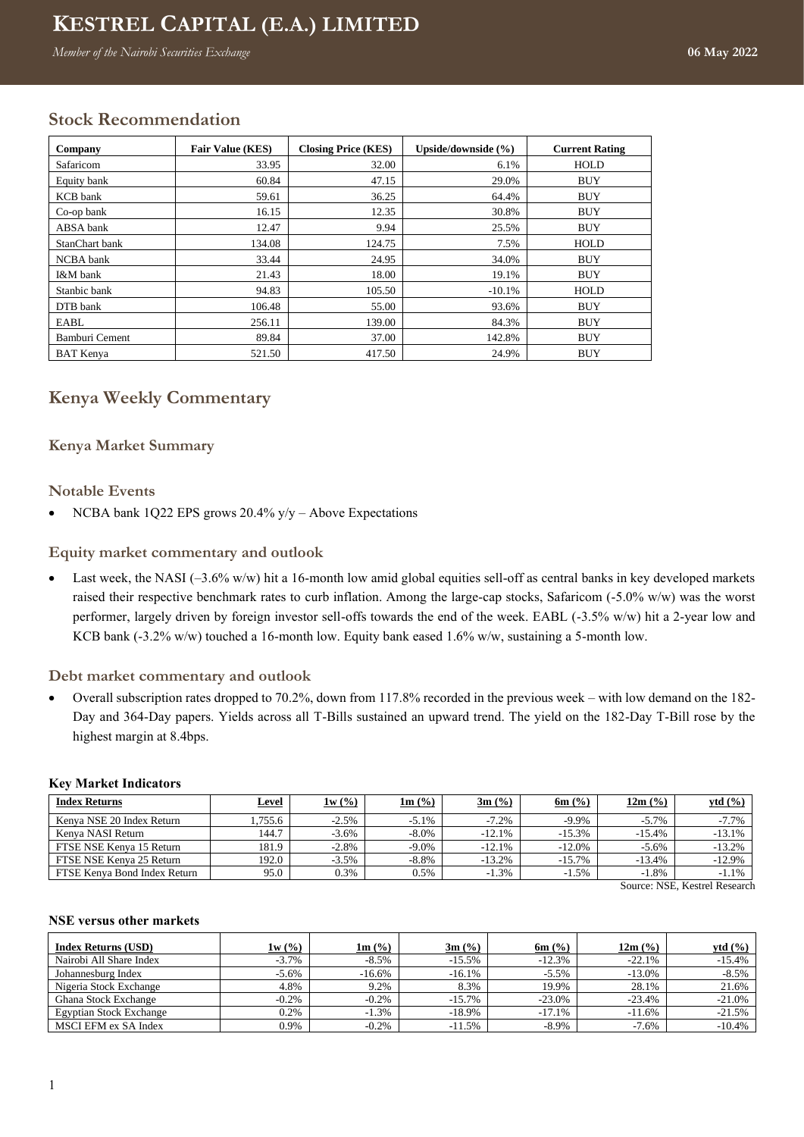# **Kenya Weekly Commentary KESTREL CAPITAL (E.A.) LIMITED**

*Member of the Nairobi Securities Exchange* **<b>06-May-2022** 

# **Stock Recommendation**

| Company          | <b>Fair Value (KES)</b> | <b>Closing Price (KES)</b> | Upside/downside $(\% )$ | <b>Current Rating</b> |
|------------------|-------------------------|----------------------------|-------------------------|-----------------------|
| Safaricom        | 33.95                   | 32.00                      | 6.1%                    | <b>HOLD</b>           |
| Equity bank      | 60.84                   | 47.15                      | 29.0%                   | <b>BUY</b>            |
| <b>KCB</b> bank  | 59.61                   | 36.25                      | 64.4%                   | <b>BUY</b>            |
| Co-op bank       | 16.15                   | 12.35                      | 30.8%                   | <b>BUY</b>            |
| ABSA bank        | 12.47                   | 9.94                       | 25.5%                   | <b>BUY</b>            |
| StanChart bank   | 134.08                  | 124.75                     | 7.5%                    | HOLD                  |
| NCBA bank        | 33.44                   | 24.95                      | 34.0%                   | <b>BUY</b>            |
| I&M bank         | 21.43                   | 18.00                      | 19.1%                   | <b>BUY</b>            |
| Stanbic bank     | 94.83                   | 105.50                     | $-10.1%$                | <b>HOLD</b>           |
| DTB bank         | 106.48                  | 55.00                      | 93.6%                   | <b>BUY</b>            |
| EABL             | 256.11                  | 139.00                     | 84.3%                   | <b>BUY</b>            |
| Bamburi Cement   | 89.84                   | 37.00                      | 142.8%                  | <b>BUY</b>            |
| <b>BAT</b> Kenva | 521.50                  | 417.50                     | 24.9%                   | <b>BUY</b>            |

# **Kenya Weekly Commentary**

# **Kenya Market Summary**

## **Notable Events**

• NCBA bank 1Q22 EPS grows 20.4% y/y – Above Expectations

## **Equity market commentary and outlook**

• Last week, the NASI  $(-3.6\% \text{ w/w})$  hit a 16-month low amid global equities sell-off as central banks in key developed markets raised their respective benchmark rates to curb inflation. Among the large-cap stocks, Safaricom (-5.0% w/w) was the worst performer, largely driven by foreign investor sell-offs towards the end of the week. EABL (-3.5% w/w) hit a 2-year low and KCB bank (-3.2% w/w) touched a 16-month low. Equity bank eased 1.6% w/w, sustaining a 5-month low.

#### **Debt market commentary and outlook**

• Overall subscription rates dropped to 70.2%, down from 117.8% recorded in the previous week – with low demand on the 182- Day and 364-Day papers. Yields across all T-Bills sustained an upward trend. The yield on the 182-Day T-Bill rose by the highest margin at 8.4bps.

#### **Key Market Indicators**

| <b>Index Returns</b>         | <b>Level</b> | 1w(%)    | $1m$ (%) | $3m$ (%)  | 6m $(\%)$ | 12m (%)  | ytd(%)   |
|------------------------------|--------------|----------|----------|-----------|-----------|----------|----------|
| Kenva NSE 20 Index Return    | .755.6       | $-2.5%$  | $-5.1%$  | $-7.2%$   | $-9.9\%$  | $-5.7\%$ | $-7.7%$  |
| Kenva NASI Return            | 44.7         | $-3.6\%$ | $-8.0\%$ | $-12.1%$  | $-15.3%$  | $-15.4%$ | $-13.1%$ |
| FTSE NSE Kenya 15 Return     | 181.9        | $-2.8%$  | $-9.0\%$ | $-12.1%$  | $-12.0\%$ | $-5.6%$  | $-13.2%$ |
| FTSE NSE Kenva 25 Return     | 192.0        | $-3.5\%$ | $-8.8%$  | $-13.2\%$ | $-15.7\%$ | $-13.4%$ | $-12.9%$ |
| FTSE Kenva Bond Index Return | 95.0         | 0.3%     | 0.5%     | $-1.3\%$  | $-1.5%$   | $-1.8%$  | $-1.1%$  |

Source: NSE, Kestrel Research

#### **NSE versus other markets**

| <b>Index Returns (USD)</b>     | 1w(%)    | $1m$ (%) | $3m$ (%)  | 6m $($ %) | 12m (%)  | vtd (%)  |
|--------------------------------|----------|----------|-----------|-----------|----------|----------|
| Nairobi All Share Index        | $-3.7%$  | $-8.5%$  | $-15.5%$  | $-12.3%$  | $-22.1%$ | $-15.4%$ |
| Johannesburg Index             | $-5.6\%$ | $-16.6%$ | $-16.1%$  | $-5.5%$   | $-13.0%$ | $-8.5%$  |
| Nigeria Stock Exchange         | 4.8%     | 9.2%     | 8.3%      | 19.9%     | 28.1%    | 21.6%    |
| Ghana Stock Exchange           | $-0.2%$  | $-0.2\%$ | $-15.7\%$ | $-23.0%$  | $-23.4%$ | $-21.0%$ |
| <b>Egyptian Stock Exchange</b> | 0.2%     | $-1.3%$  | $-18.9\%$ | $-17.1%$  | $-11.6%$ | $-21.5%$ |
| <b>MSCI EFM ex SA Index</b>    | 0.9%     | $-0.2%$  | $-11.5%$  | $-8.9\%$  | $-7.6%$  | $-10.4%$ |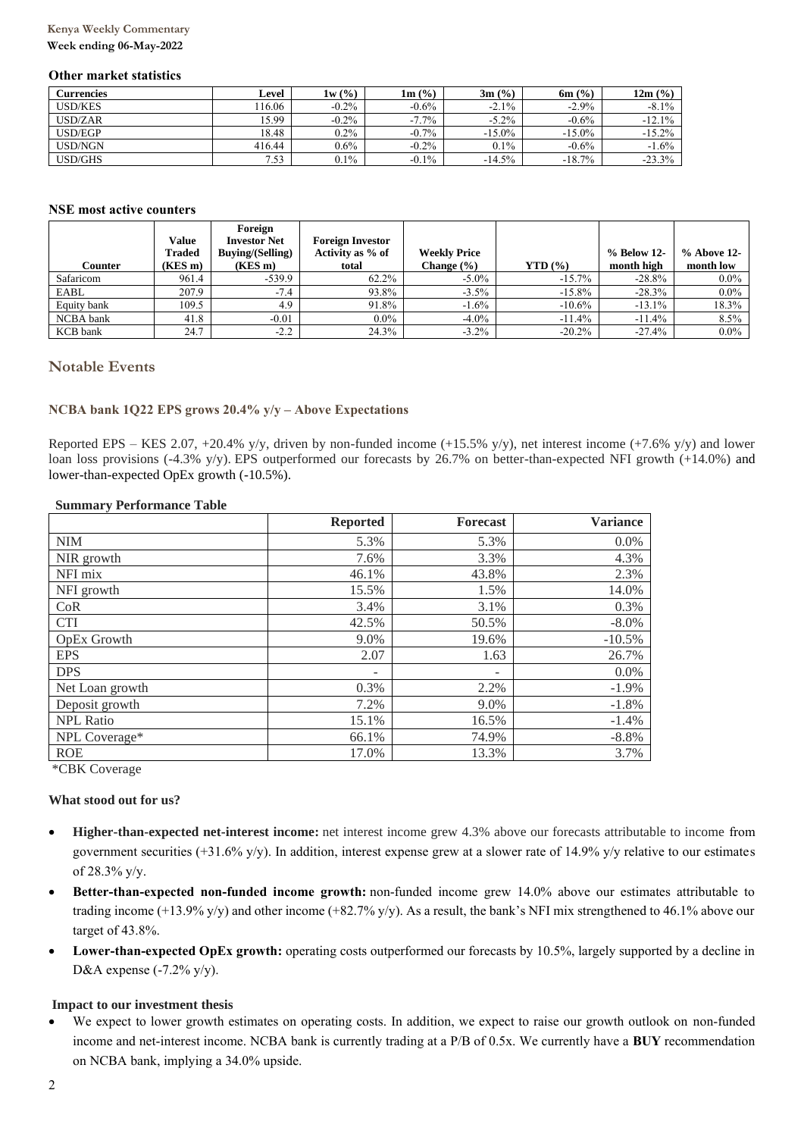# **Kenya Weekly Commentary**

#### **Week ending 06-May-2022**

#### **Other market statistics**

| Currencies     | ∟evel  | 1w(%)    | $1m$ (%) | $3m$ (%)  | $6m$ (%)  | 12m (%)  |
|----------------|--------|----------|----------|-----------|-----------|----------|
| <b>USD/KES</b> | 16.06  | $-0.2\%$ | $-0.6\%$ | $-2.1\%$  | $-2.9\%$  | $-8.1\%$ |
| USD/ZAR        | 15.99  | $-0.2\%$ | $-7.7\%$ | $-5.2\%$  | $-0.6%$   | $-12.1%$ |
| USD/EGP        | 18.48  | $0.2\%$  | $-0.7%$  | $-15.0\%$ | $-15.0\%$ | $-15.2%$ |
| USD/NGN        | 416.44 | $0.6\%$  | $-0.2%$  | 0.1%      | $-0.6%$   | $-1.6%$  |
| USD/GHS        | 7.53   | $0.1\%$  | $-0.1\%$ | $-14.5%$  | $-18.7%$  | $-23.3%$ |

#### **NSE most active counters**

|                 |         | Foreign                 |                         |                     |              |             |             |
|-----------------|---------|-------------------------|-------------------------|---------------------|--------------|-------------|-------------|
|                 | Value   | <b>Investor Net</b>     | <b>Foreign Investor</b> |                     |              |             |             |
|                 | Traded  | <b>Buving/(Selling)</b> | Activity as % of        | <b>Weekly Price</b> |              | % Below 12- | % Above 12- |
| Counter         | (KES m) | $(KES \, m)$            | total                   | Change (%)          | $YTD($ % $)$ | month high  | month low   |
| Safaricom       | 961.4   | $-539.9$                | 62.2%                   | $-5.0\%$            | $-15.7%$     | $-28.8%$    | $0.0\%$     |
| EABL            | 207.9   | $-7.4$                  | 93.8%                   | $-3.5\%$            | $-15.8%$     | $-28.3%$    | $0.0\%$     |
| Equity bank     | 109.5   | 4.9                     | 91.8%                   | $-1.6%$             | $-10.6%$     | $-13.1\%$   | 18.3%       |
| NCBA bank       | 41.8    | $-0.01$                 | $0.0\%$                 | $-4.0\%$            | $-11.4%$     | $-11.4%$    | 8.5%        |
| <b>KCB</b> bank | 24.7    | $-2.2$                  | 24.3%                   | $-3.2\%$            | $-20.2%$     | $-27.4%$    | $0.0\%$     |

## **Notable Events**

#### **NCBA bank 1Q22 EPS grows 20.4% y/y – Above Expectations**

Reported EPS – KES 2.07, +20.4% y/y, driven by non-funded income (+15.5% y/y), net interest income (+7.6% y/y) and lower loan loss provisions (-4.3% y/y). EPS outperformed our forecasts by 26.7% on better-than-expected NFI growth (+14.0%) and lower-than-expected OpEx growth (-10.5%).

#### **Summary Performance Table**

|                  | <b>Reported</b> | Forecast                 | <b>Variance</b> |
|------------------|-----------------|--------------------------|-----------------|
| <b>NIM</b>       | 5.3%            | 5.3%                     | $0.0\%$         |
| NIR growth       | 7.6%            | 3.3%                     | 4.3%            |
| NFI mix          | 46.1%           | 43.8%                    | 2.3%            |
| NFI growth       | 15.5%           | 1.5%                     | 14.0%           |
| CoR              | 3.4%            | 3.1%                     | 0.3%            |
| <b>CTI</b>       | 42.5%           | 50.5%                    | $-8.0\%$        |
| OpEx Growth      | 9.0%            | 19.6%                    | $-10.5%$        |
| <b>EPS</b>       | 2.07            | 1.63                     | 26.7%           |
| <b>DPS</b>       | ۰               | $\overline{\phantom{a}}$ | $0.0\%$         |
| Net Loan growth  | 0.3%            | 2.2%                     | $-1.9%$         |
| Deposit growth   | 7.2%            | 9.0%                     | $-1.8%$         |
| <b>NPL Ratio</b> | 15.1%           | 16.5%                    | $-1.4%$         |
| NPL Coverage*    | 66.1%           | 74.9%                    | $-8.8%$         |
| <b>ROE</b>       | 17.0%           | 13.3%                    | 3.7%            |

\*CBK Coverage

#### **What stood out for us?**

- **Higher-than-expected net-interest income:** net interest income grew 4.3% above our forecasts attributable to income from government securities (+31.6% y/y). In addition, interest expense grew at a slower rate of 14.9% y/y relative to our estimates of 28.3% y/y.
- **Better-than-expected non-funded income growth:** non-funded income grew 14.0% above our estimates attributable to trading income  $(+13.9\% \text{ y/y})$  and other income  $(+82.7\% \text{ y/y})$ . As a result, the bank's NFI mix strengthened to 46.1% above our target of 43.8%.
- **Lower-than-expected OpEx growth:** operating costs outperformed our forecasts by 10.5%, largely supported by a decline in D&A expense  $(-7.2\% \text{ y/y})$ .

#### **Impact to our investment thesis**

We expect to lower growth estimates on operating costs. In addition, we expect to raise our growth outlook on non-funded income and net-interest income. NCBA bank is currently trading at a P/B of 0.5x. We currently have a **BUY** recommendation on NCBA bank, implying a 34.0% upside.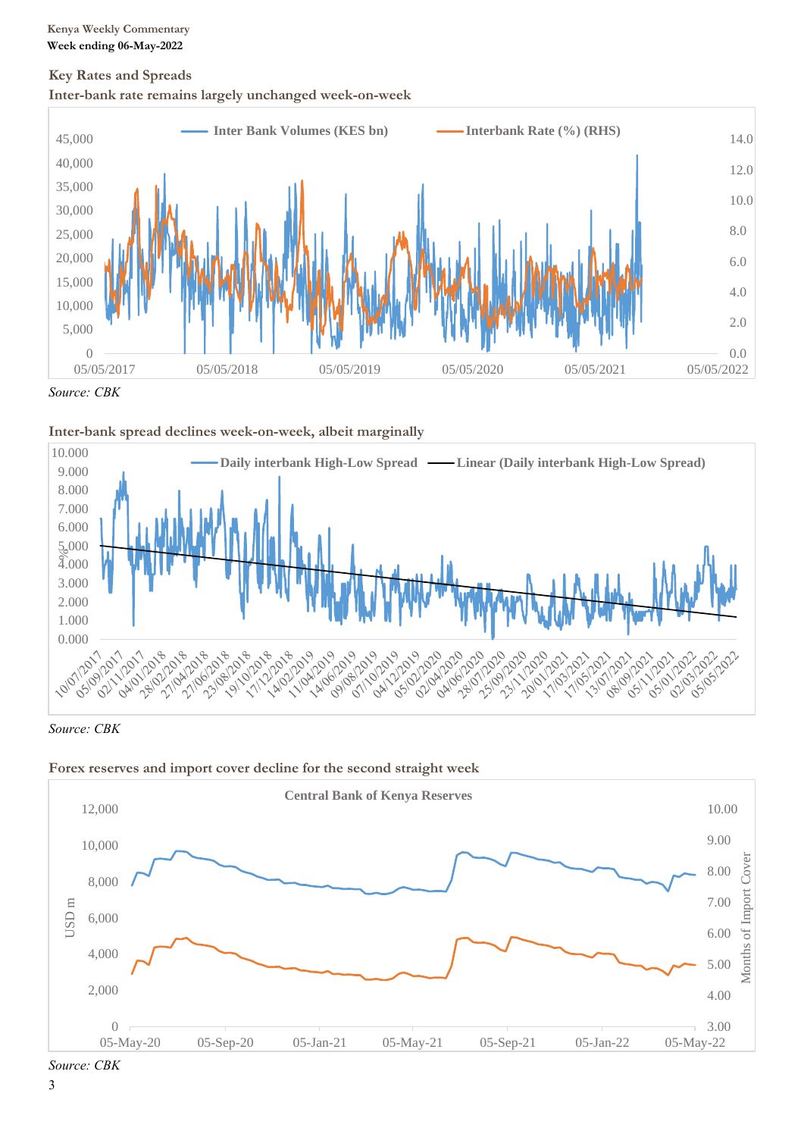# **Key Rates and Spreads**





*Source: CBK*





*Source: CBK*





*Source: CBK*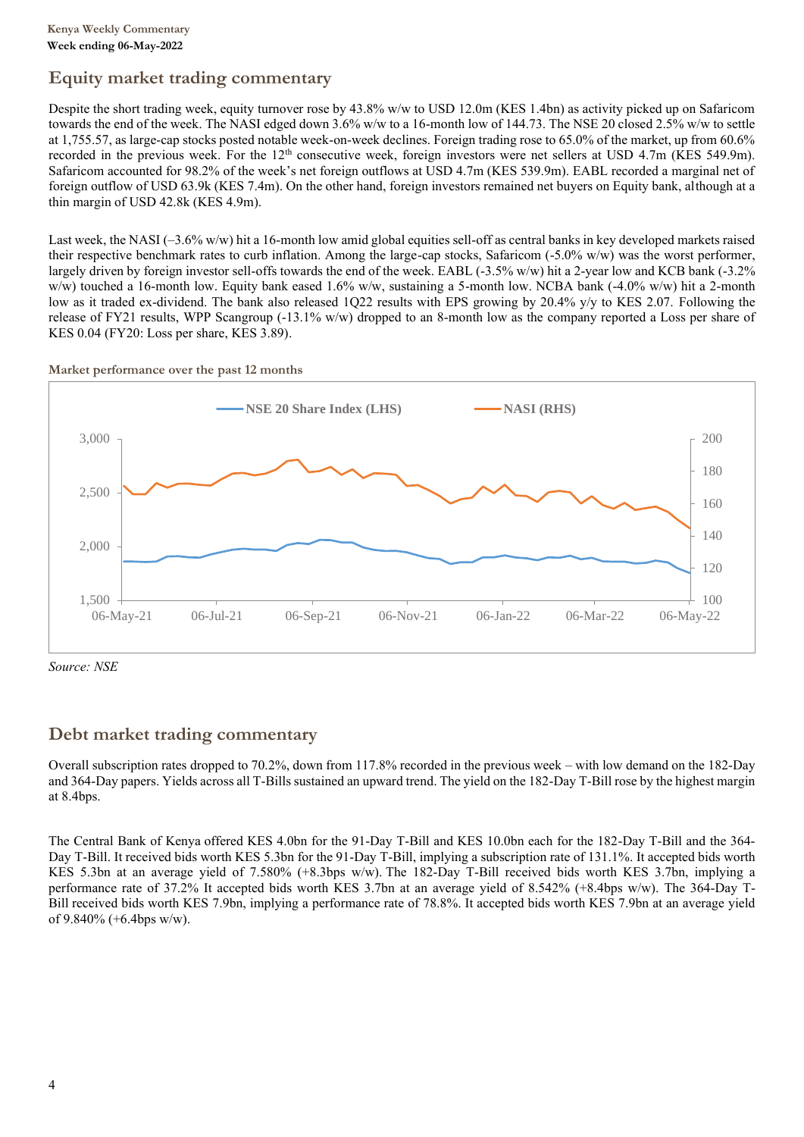# **Equity market trading commentary**

Despite the short trading week, equity turnover rose by 43.8% w/w to USD 12.0m (KES 1.4bn) as activity picked up on Safaricom towards the end of the week. The NASI edged down 3.6% w/w to a 16-month low of 144.73. The NSE 20 closed 2.5% w/w to settle at 1,755.57, as large-cap stocks posted notable week-on-week declines. Foreign trading rose to 65.0% of the market, up from 60.6% recorded in the previous week. For the 12<sup>th</sup> consecutive week, foreign investors were net sellers at USD 4.7m (KES 549.9m). Safaricom accounted for 98.2% of the week's net foreign outflows at USD 4.7m (KES 539.9m). EABL recorded a marginal net of foreign outflow of USD 63.9k (KES 7.4m). On the other hand, foreign investors remained net buyers on Equity bank, although at a thin margin of USD 42.8k (KES 4.9m).

Last week, the NASI (–3.6% w/w) hit a 16-month low amid global equities sell-off as central banks in key developed markets raised their respective benchmark rates to curb inflation. Among the large-cap stocks, Safaricom (-5.0% w/w) was the worst performer, largely driven by foreign investor sell-offs towards the end of the week. EABL (-3.5% w/w) hit a 2-year low and KCB bank (-3.2% w/w) touched a 16-month low. Equity bank eased 1.6% w/w, sustaining a 5-month low. NCBA bank (-4.0% w/w) hit a 2-month low as it traded ex-dividend. The bank also released 1Q22 results with EPS growing by 20.4% y/y to KES 2.07. Following the release of FY21 results, WPP Scangroup (-13.1% w/w) dropped to an 8-month low as the company reported a Loss per share of KES 0.04 (FY20: Loss per share, KES 3.89).

#### **Market performance over the past 12 months**



*Source: NSE*

# **Debt market trading commentary**

Overall subscription rates dropped to 70.2%, down from 117.8% recorded in the previous week – with low demand on the 182-Day and 364-Day papers. Yields across all T-Bills sustained an upward trend. The yield on the 182-Day T-Bill rose by the highest margin at 8.4bps.

The Central Bank of Kenya offered KES 4.0bn for the 91-Day T-Bill and KES 10.0bn each for the 182-Day T-Bill and the 364- Day T-Bill. It received bids worth KES 5.3bn for the 91-Day T-Bill, implying a subscription rate of 131.1%. It accepted bids worth KES 5.3bn at an average yield of 7.580% (+8.3bps w/w). The 182-Day T-Bill received bids worth KES 3.7bn, implying a performance rate of 37.2% It accepted bids worth KES 3.7bn at an average yield of 8.542% (+8.4bps w/w). The 364-Day T-Bill received bids worth KES 7.9bn, implying a performance rate of 78.8%. It accepted bids worth KES 7.9bn at an average yield of 9.840% (+6.4bps w/w).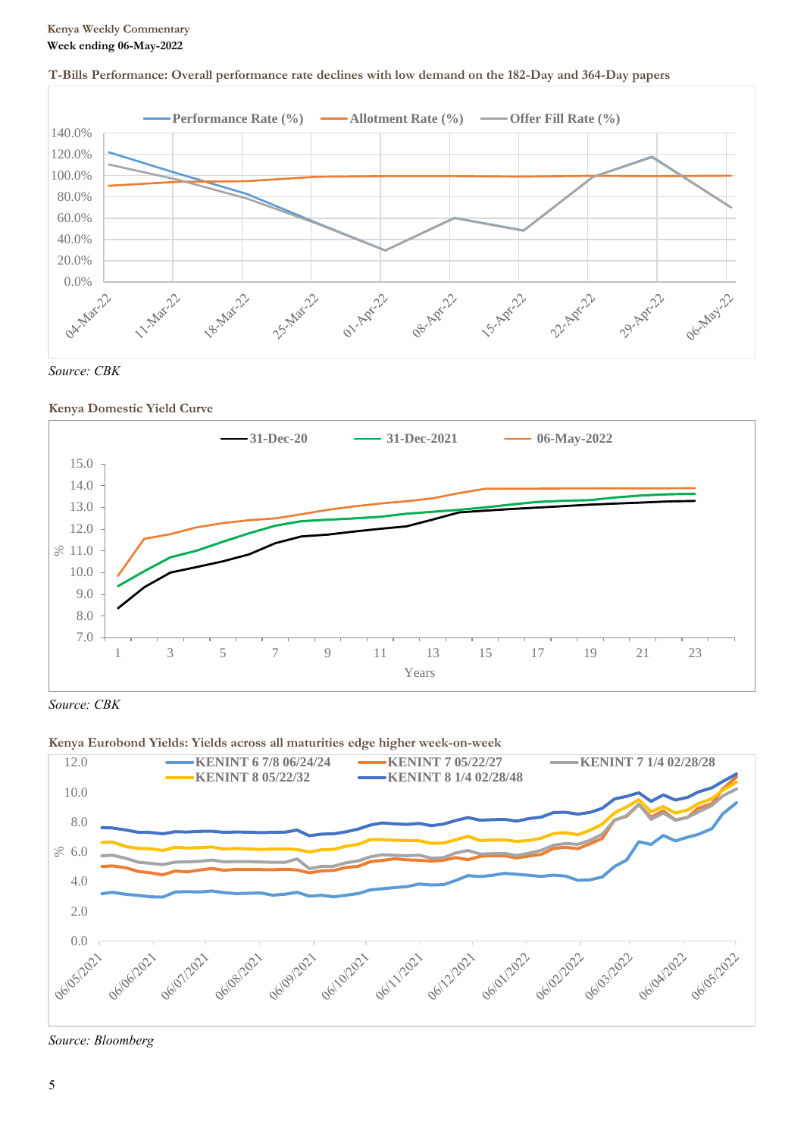# **Kenya Weekly Commentary Week ending 06-May-2022**



# **T-Bills Performance: Overall performance rate declines with low demand on the 182-Day and 364-Day papers**



# **Kenya Domestic Yield Curve**



*Source: CBK*

# **Kenya Eurobond Yields: Yields across all maturities edge higher week-on-week**



*Source: Bloomberg*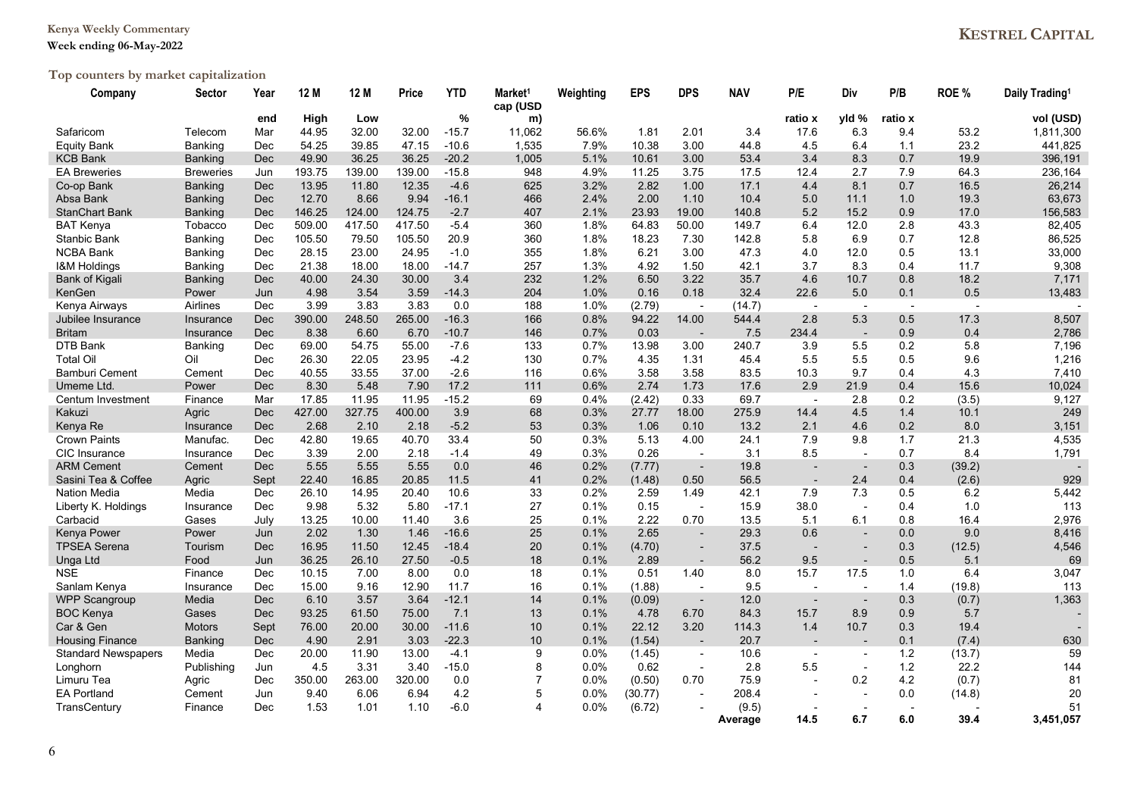# **Kenya Weekly Commentary**

# **Week ending 06-May-2022**

# **Top counters by market capitalization**

| Company                    | Sector           | Year       | 12 M   | 12 M   | Price  | YTD     | Market <sup>1</sup><br>cap (USD | Weighting | <b>EPS</b> | <b>DPS</b>               | <b>NAV</b> | P/E                      | Div                      | P/B     | ROE %  | Daily Trading <sup>1</sup> |
|----------------------------|------------------|------------|--------|--------|--------|---------|---------------------------------|-----------|------------|--------------------------|------------|--------------------------|--------------------------|---------|--------|----------------------------|
|                            |                  | end        | High   | Low    |        | %       | m)                              |           |            |                          |            | ratio x                  | yld %                    | ratio x |        | vol (USD)                  |
| Safaricom                  | Telecom          | Mar        | 44.95  | 32.00  | 32.00  | $-15.7$ | 11,062                          | 56.6%     | 1.81       | 2.01                     | 3.4        | 17.6                     | 6.3                      | 9.4     | 53.2   | 1,811,300                  |
| <b>Equity Bank</b>         | Banking          | Dec        | 54.25  | 39.85  | 47.15  | $-10.6$ | 1,535                           | 7.9%      | 10.38      | 3.00                     | 44.8       | 4.5                      | 6.4                      | 1.1     | 23.2   | 441,825                    |
| <b>KCB Bank</b>            | <b>Banking</b>   | <b>Dec</b> | 49.90  | 36.25  | 36.25  | $-20.2$ | 1,005                           | 5.1%      | 10.61      | 3.00                     | 53.4       | 3.4                      | 8.3                      | 0.7     | 19.9   | 396,191                    |
| <b>EA Breweries</b>        | <b>Breweries</b> | Jun        | 193.75 | 139.00 | 139.00 | $-15.8$ | 948                             | 4.9%      | 11.25      | 3.75                     | 17.5       | 12.4                     | 2.7                      | 7.9     | 64.3   | 236,164                    |
| Co-op Bank                 | <b>Banking</b>   | <b>Dec</b> | 13.95  | 11.80  | 12.35  | $-4.6$  | 625                             | 3.2%      | 2.82       | 1.00                     | 17.1       | 4.4                      | 8.1                      | 0.7     | 16.5   | 26,214                     |
| Absa Bank                  | <b>Banking</b>   | <b>Dec</b> | 12.70  | 8.66   | 9.94   | $-16.1$ | 466                             | 2.4%      | 2.00       | 1.10                     | 10.4       | 5.0                      | 11.1                     | 1.0     | 19.3   | 63,673                     |
| <b>StanChart Bank</b>      | <b>Banking</b>   | <b>Dec</b> | 146.25 | 124.00 | 124.75 | $-2.7$  | 407                             | 2.1%      | 23.93      | 19.00                    | 140.8      | 5.2                      | 15.2                     | 0.9     | 17.0   | 156,583                    |
| <b>BAT Kenya</b>           | Tobacco          | Dec        | 509.00 | 417.50 | 417.50 | $-5.4$  | 360                             | 1.8%      | 64.83      | 50.00                    | 149.7      | 6.4                      | 12.0                     | 2.8     | 43.3   | 82,405                     |
| Stanbic Bank               | Banking          | Dec        | 105.50 | 79.50  | 105.50 | 20.9    | 360                             | 1.8%      | 18.23      | 7.30                     | 142.8      | 5.8                      | 6.9                      | 0.7     | 12.8   | 86,525                     |
| <b>NCBA Bank</b>           | <b>Banking</b>   | Dec        | 28.15  | 23.00  | 24.95  | $-1.0$  | 355                             | 1.8%      | 6.21       | 3.00                     | 47.3       | 4.0                      | 12.0                     | 0.5     | 13.1   | 33,000                     |
| <b>I&amp;M Holdings</b>    | <b>Banking</b>   | Dec        | 21.38  | 18.00  | 18.00  | $-14.7$ | 257                             | 1.3%      | 4.92       | 1.50                     | 42.1       | 3.7                      | 8.3                      | 0.4     | 11.7   | 9,308                      |
| <b>Bank of Kigali</b>      | Banking          | Dec        | 40.00  | 24.30  | 30.00  | 3.4     | 232                             | 1.2%      | 6.50       | 3.22                     | 35.7       | 4.6                      | 10.7                     | 0.8     | 18.2   | 7,171                      |
| KenGen                     | Power            | Jun        | 4.98   | 3.54   | 3.59   | $-14.3$ | 204                             | 1.0%      | 0.16       | 0.18                     | 32.4       | 22.6                     | 5.0                      | 0.1     | 0.5    | 13,483                     |
| Kenya Airways              | Airlines         | Dec        | 3.99   | 3.83   | 3.83   | 0.0     | 188                             | 1.0%      | (2.79)     | $\overline{\phantom{a}}$ | (14.7)     | $\sim$                   | $\sim$                   | $\sim$  |        |                            |
| Jubilee Insurance          | Insurance        | <b>Dec</b> | 390.00 | 248.50 | 265.00 | $-16.3$ | 166                             | 0.8%      | 94.22      | 14.00                    | 544.4      | 2.8                      | 5.3                      | 0.5     | 17.3   | 8,507                      |
| <b>Britam</b>              | Insurance        | Dec        | 8.38   | 6.60   | 6.70   | $-10.7$ | 146                             | 0.7%      | 0.03       | $\blacksquare$           | 7.5        | 234.4                    | $\overline{a}$           | 0.9     | 0.4    | 2,786                      |
| DTB Bank                   | Banking          | Dec        | 69.00  | 54.75  | 55.00  | $-7.6$  | 133                             | 0.7%      | 13.98      | 3.00                     | 240.7      | 3.9                      | 5.5                      | 0.2     | 5.8    | 7,196                      |
| <b>Total Oil</b>           | Oil              | Dec        | 26.30  | 22.05  | 23.95  | $-4.2$  | 130                             | 0.7%      | 4.35       | 1.31                     | 45.4       | 5.5                      | 5.5                      | 0.5     | 9.6    | 1,216                      |
| <b>Bamburi Cement</b>      | Cement           | Dec        | 40.55  | 33.55  | 37.00  | $-2.6$  | 116                             | 0.6%      | 3.58       | 3.58                     | 83.5       | 10.3                     | 9.7                      | 0.4     | 4.3    | 7,410                      |
| Umeme Ltd.                 | Power            | <b>Dec</b> | 8.30   | 5.48   | 7.90   | 17.2    | 111                             | 0.6%      | 2.74       | 1.73                     | 17.6       | 2.9                      | 21.9                     | 0.4     | 15.6   | 10,024                     |
| Centum Investment          | Finance          | Mar        | 17.85  | 11.95  | 11.95  | $-15.2$ | 69                              | 0.4%      | (2.42)     | 0.33                     | 69.7       | $\blacksquare$           | 2.8                      | 0.2     | (3.5)  | 9,127                      |
| Kakuzi                     | Agric            | <b>Dec</b> | 427.00 | 327.75 | 400.00 | 3.9     | 68                              | 0.3%      | 27.77      | 18.00                    | 275.9      | 14.4                     | 4.5                      | 1.4     | 10.1   | 249                        |
| Kenya Re                   | Insurance        | <b>Dec</b> | 2.68   | 2.10   | 2.18   | $-5.2$  | 53                              | 0.3%      | 1.06       | 0.10                     | 13.2       | 2.1                      | 4.6                      | 0.2     | 8.0    | 3,151                      |
| <b>Crown Paints</b>        | Manufac.         | Dec        | 42.80  | 19.65  | 40.70  | 33.4    | 50                              | 0.3%      | 5.13       | 4.00                     | 24.1       | 7.9                      | 9.8                      | 1.7     | 21.3   | 4,535                      |
| CIC Insurance              | Insurance        | Dec        | 3.39   | 2.00   | 2.18   | $-1.4$  | 49                              | 0.3%      | 0.26       |                          | 3.1        | 8.5                      | $\overline{\phantom{a}}$ | 0.7     | 8.4    | 1,791                      |
| <b>ARM Cement</b>          | Cement           | <b>Dec</b> | 5.55   | 5.55   | 5.55   | 0.0     | 46                              | 0.2%      | (7.77)     | $\blacksquare$           | 19.8       |                          | $\overline{a}$           | 0.3     | (39.2) |                            |
| Sasini Tea & Coffee        | Agric            | Sept       | 22.40  | 16.85  | 20.85  | 11.5    | 41                              | 0.2%      | (1.48)     | 0.50                     | 56.5       |                          | 2.4                      | 0.4     | (2.6)  | 929                        |
| <b>Nation Media</b>        | Media            | Dec        | 26.10  | 14.95  | 20.40  | 10.6    | 33                              | 0.2%      | 2.59       | 1.49                     | 42.1       | 7.9                      | 7.3                      | 0.5     | 6.2    | 5,442                      |
| Liberty K. Holdings        | Insurance        | Dec        | 9.98   | 5.32   | 5.80   | $-17.1$ | 27                              | 0.1%      | 0.15       | $\blacksquare$           | 15.9       | 38.0                     | $\overline{\phantom{a}}$ | 0.4     | 1.0    | 113                        |
| Carbacid                   | Gases            | July       | 13.25  | 10.00  | 11.40  | 3.6     | 25                              | 0.1%      | 2.22       | 0.70                     | 13.5       | 5.1                      | 6.1                      | 0.8     | 16.4   | 2,976                      |
| Kenya Power                | Power            | Jun        | 2.02   | 1.30   | 1.46   | $-16.6$ | 25                              | 0.1%      | 2.65       |                          | 29.3       | 0.6                      | $\overline{a}$           | 0.0     | 9.0    | 8,416                      |
| <b>TPSEA Serena</b>        | Tourism          | <b>Dec</b> | 16.95  | 11.50  | 12.45  | $-18.4$ | 20                              | 0.1%      | (4.70)     |                          | 37.5       |                          |                          | 0.3     | (12.5) | 4,546                      |
| Unga Ltd                   | Food             | Jun        | 36.25  | 26.10  | 27.50  | $-0.5$  | 18                              | 0.1%      | 2.89       | $\overline{\phantom{a}}$ | 56.2       | 9.5                      | $\overline{\phantom{a}}$ | 0.5     | 5.1    | 69                         |
| <b>NSE</b>                 | Finance          | Dec        | 10.15  | 7.00   | 8.00   | 0.0     | 18                              | 0.1%      | 0.51       | 1.40                     | 8.0        | 15.7                     | 17.5                     | 1.0     | 6.4    | 3,047                      |
| Sanlam Kenya               | Insurance        | Dec        | 15.00  | 9.16   | 12.90  | 11.7    | 16                              | 0.1%      | (1.88)     | $\overline{\phantom{a}}$ | 9.5        |                          | $\overline{a}$           | 1.4     | (19.8) | 113                        |
| <b>WPP Scangroup</b>       | Media            | <b>Dec</b> | 6.10   | 3.57   | 3.64   | $-12.1$ | 14                              | 0.1%      | (0.09)     |                          | 12.0       |                          | $\overline{\phantom{a}}$ | 0.3     | (0.7)  | 1,363                      |
| <b>BOC Kenya</b>           | Gases            | Dec        | 93.25  | 61.50  | 75.00  | 7.1     | 13                              | 0.1%      | 4.78       | 6.70                     | 84.3       | 15.7                     | 8.9                      | 0.9     | 5.7    |                            |
| Car & Gen                  | Motors           | Sept       | 76.00  | 20.00  | 30.00  | $-11.6$ | 10                              | 0.1%      | 22.12      | 3.20                     | 114.3      | 1.4                      | 10.7                     | 0.3     | 19.4   |                            |
| <b>Housing Finance</b>     | <b>Banking</b>   | <b>Dec</b> | 4.90   | 2.91   | 3.03   | $-22.3$ | 10                              | 0.1%      | (1.54)     |                          | 20.7       |                          |                          | 0.1     | (7.4)  | 630                        |
| <b>Standard Newspapers</b> | Media            | Dec        | 20.00  | 11.90  | 13.00  | $-4.1$  | 9                               | 0.0%      | (1.45)     | $\overline{\phantom{a}}$ | 10.6       | $\overline{\phantom{a}}$ | $\blacksquare$           | 1.2     | (13.7) | 59                         |
| Longhorn                   | Publishing       | Jun        | 4.5    | 3.31   | 3.40   | $-15.0$ | 8                               | $0.0\%$   | 0.62       |                          | 2.8        | 5.5                      | $\overline{a}$           | 1.2     | 22.2   | 144                        |
| Limuru Tea                 | Agric            | Dec        | 350.00 | 263.00 | 320.00 | 0.0     | $\overline{7}$                  | 0.0%      | (0.50)     | 0.70                     | 75.9       |                          | 0.2                      | 4.2     | (0.7)  | 81                         |
| <b>EA Portland</b>         | Cement           | Jun        | 9.40   | 6.06   | 6.94   | 4.2     | 5                               | 0.0%      | (30.77)    |                          | 208.4      |                          | ÷,                       | 0.0     | (14.8) | 20                         |
| TransCentury               | Finance          | Dec        | 1.53   | 1.01   | 1.10   | $-6.0$  | $\overline{\mathbf{A}}$         | $0.0\%$   | (6.72)     |                          | (9.5)      |                          |                          |         |        | 51                         |
|                            |                  |            |        |        |        |         |                                 |           |            |                          | Average    | 14.5                     | 6.7                      | 6.0     | 39.4   | 3,451,057                  |

# **KESTREL CAPITAL**